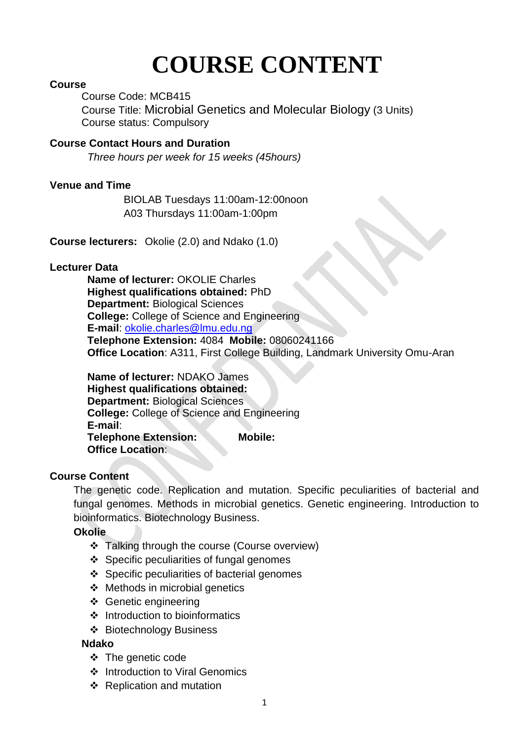# **COURSE CONTENT**

#### **Course**

Course Code: MCB415

Course Title: Microbial Genetics and Molecular Biology (3 Units) Course status: Compulsory

**Course Contact Hours and Duration**

 *Three hours per week for 15 weeks (45hours)*

#### **Venue and Time**

BIOLAB Tuesdays 11:00am-12:00noon A03 Thursdays 11:00am-1:00pm

**Course lecturers:** Okolie (2.0) and Ndako (1.0)

#### **Lecturer Data**

**Name of lecturer:** OKOLIE Charles **Highest qualifications obtained:** PhD **Department:** Biological Sciences **College:** College of Science and Engineering **E-mail**: [okolie.charles@lmu.edu.ng](mailto:okolie.charles@lmu.edu.ng) **Telephone Extension:** 4084 **Mobile:** 08060241166 **Office Location**: A311, First College Building, Landmark University Omu-Aran

**Name of lecturer:** NDAKO James **Highest qualifications obtained: Department: Biological Sciences College:** College of Science and Engineering **E-mail**: **Telephone Extension: Mobile: Office Location**:

#### **Course Content**

The genetic code. Replication and mutation. Specific peculiarities of bacterial and fungal genomes. Methods in microbial genetics. Genetic engineering. Introduction to bioinformatics. Biotechnology Business.

**Okolie**

- \* Talking through the course (Course overview)
- Specific peculiarities of fungal genomes
- Specific peculiarities of bacterial genomes
- $\div$  Methods in microbial genetics
- ❖ Genetic engineering
- $\div$  Introduction to bioinformatics
- Biotechnology Business

#### **Ndako**

- ❖ The genetic code
- ❖ Introduction to Viral Genomics
- $\div$  Replication and mutation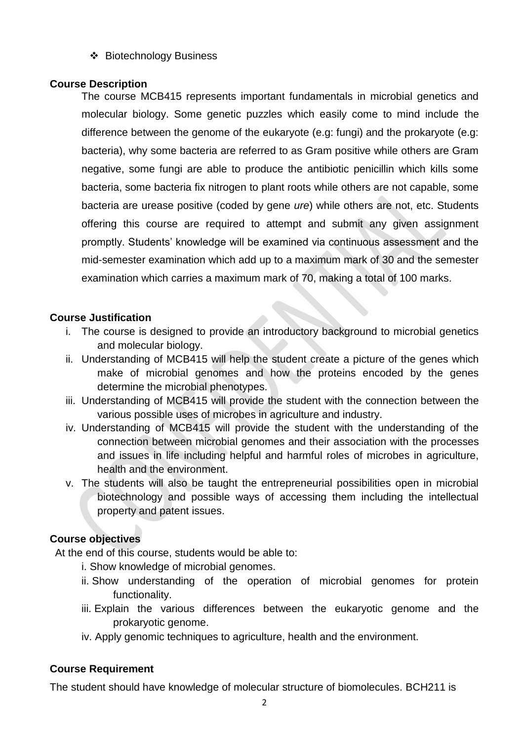Biotechnology Business

#### **Course Description**

The course MCB415 represents important fundamentals in microbial genetics and molecular biology. Some genetic puzzles which easily come to mind include the difference between the genome of the eukaryote (e.g: fungi) and the prokaryote (e.g: bacteria), why some bacteria are referred to as Gram positive while others are Gram negative, some fungi are able to produce the antibiotic penicillin which kills some bacteria, some bacteria fix nitrogen to plant roots while others are not capable, some bacteria are urease positive (coded by gene *ure*) while others are not, etc. Students offering this course are required to attempt and submit any given assignment promptly. Students' knowledge will be examined via continuous assessment and the mid-semester examination which add up to a maximum mark of 30 and the semester examination which carries a maximum mark of 70, making a total of 100 marks.

#### **Course Justification**

- i. The course is designed to provide an introductory background to microbial genetics and molecular biology.
- ii. Understanding of MCB415 will help the student create a picture of the genes which make of microbial genomes and how the proteins encoded by the genes determine the microbial phenotypes.
- iii. Understanding of MCB415 will provide the student with the connection between the various possible uses of microbes in agriculture and industry.
- iv. Understanding of MCB415 will provide the student with the understanding of the connection between microbial genomes and their association with the processes and issues in life including helpful and harmful roles of microbes in agriculture, health and the environment.
- v. The students will also be taught the entrepreneurial possibilities open in microbial biotechnology and possible ways of accessing them including the intellectual property and patent issues.

# **Course objectives**

At the end of this course, students would be able to:

- i. Show knowledge of microbial genomes.
- ii. Show understanding of the operation of microbial genomes for protein functionality.
- iii. Explain the various differences between the eukaryotic genome and the prokaryotic genome.
- iv. Apply genomic techniques to agriculture, health and the environment.

#### **Course Requirement**

The student should have knowledge of molecular structure of biomolecules. BCH211 is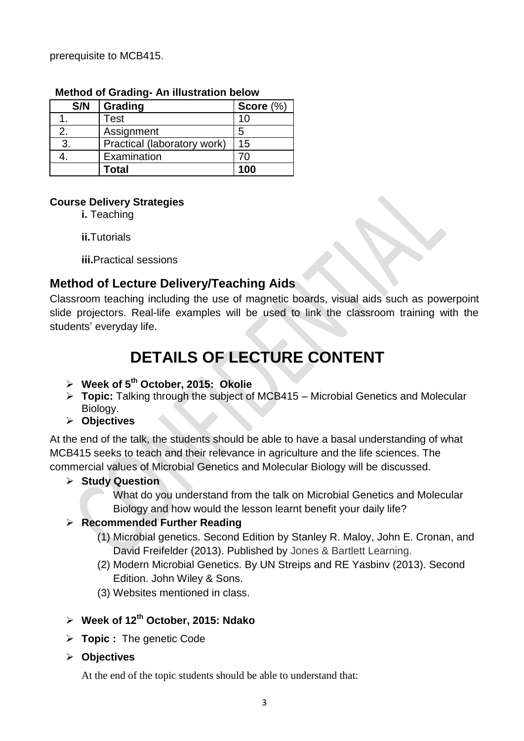prerequisite to MCB415.

| S/N | Grading                     | Score $(\%)$ |
|-----|-----------------------------|--------------|
|     | Test                        | 10           |
| 2.  | Assignment                  | 5            |
| 3.  | Practical (laboratory work) | 15           |
|     | Examination                 | 70           |
|     | <b>Total</b>                | 100          |

#### **Method of Grading- An illustration below**

#### **Course Delivery Strategies**

**i.** Teaching

**ii.**Tutorials

**iii.**Practical sessions

# **Method of Lecture Delivery/Teaching Aids**

Classroom teaching including the use of magnetic boards, visual aids such as powerpoint slide projectors. Real-life examples will be used to link the classroom training with the students' everyday life.

# **DETAILS OF LECTURE CONTENT**

- **Week of 5th October, 2015: Okolie**
- **Topic:** Talking through the subject of MCB415 Microbial Genetics and Molecular Biology.
- **Objectives**

At the end of the talk, the students should be able to have a basal understanding of what MCB415 seeks to teach and their relevance in agriculture and the life sciences. The commercial values of Microbial Genetics and Molecular Biology will be discussed.

- **Study Question**
	- What do you understand from the talk on Microbial Genetics and Molecular Biology and how would the lesson learnt benefit your daily life?

# **Recommended Further Reading**

- (1) Microbial genetics. Second Edition by [Stanley R. Maloy,](http://www.google.com.ng/search?tbo=p&tbm=bks&q=inauthor:%22Stanley+R.+Maloy%22) [John E. Cronan,](http://www.google.com.ng/search?tbo=p&tbm=bks&q=inauthor:%22John+E.+Cronan%22) and [David Freifelder](http://www.google.com.ng/search?tbo=p&tbm=bks&q=inauthor:%22David+Freifelder%22) (2013). Published by Jones & Bartlett Learning.
- (2) Modern Microbial Genetics. By UN Streips and RE Yasbinv (2013). Second Edition. John Wiley & Sons.
- (3) Websites mentioned in class.
- **Week of 12th October, 2015: Ndako**
- **Topic :** The genetic Code
- **Objectives**

At the end of the topic students should be able to understand that: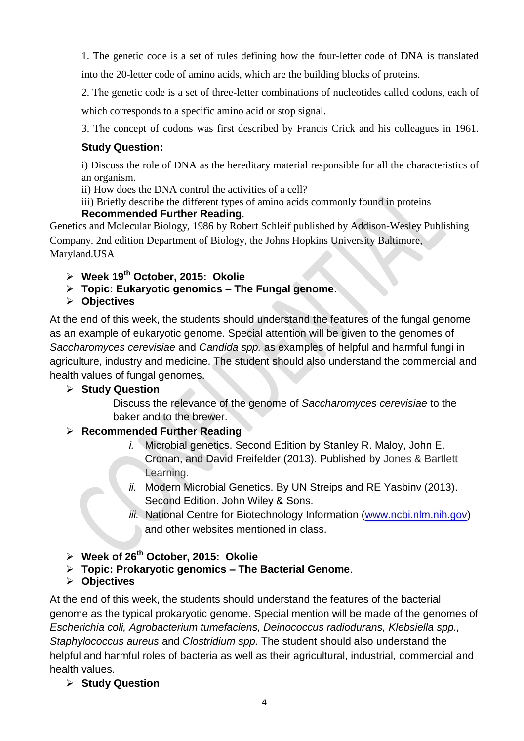1. The genetic code is a set of rules defining how the four-letter code of DNA is translated

into the 20-letter code of amino acids, which are the building blocks of proteins.

2. The genetic code is a set of three-letter combinations of nucleotides called codons, each of

which corresponds to a specific amino acid or stop signal.

3. The concept of codons was first described by Francis Crick and his colleagues in 1961.

# **Study Question:**

i) Discuss the role of DNA as the hereditary material responsible for all the characteristics of an organism.

ii) How does the DNA control the activities of a cell?

iii) Briefly describe the different types of amino acids commonly found in proteins

#### **Recommended Further Reading**.

Genetics and Molecular Biology, 1986 by Robert Schleif published by Addison-Wesley Publishing Company. 2nd edition Department of Biology, the Johns Hopkins University Baltimore, Maryland.USA

- **Week 19th October, 2015: Okolie**
- **Topic: Eukaryotic genomics – The Fungal genome**.
- **Objectives**

At the end of this week, the students should understand the features of the fungal genome as an example of eukaryotic genome. Special attention will be given to the genomes of *Saccharomyces cerevisiae* and *Candida spp.* as examples of helpful and harmful fungi in agriculture, industry and medicine. The student should also understand the commercial and health values of fungal genomes.

# **Study Question**

Discuss the relevance of the genome of *Saccharomyces cerevisiae* to the baker and to the brewer.

# **Recommended Further Reading**

- *i.* Microbial genetics. Second Edition by [Stanley R. Maloy,](http://www.google.com.ng/search?tbo=p&tbm=bks&q=inauthor:%22Stanley+R.+Maloy%22) [John E.](http://www.google.com.ng/search?tbo=p&tbm=bks&q=inauthor:%22John+E.+Cronan%22)  [Cronan,](http://www.google.com.ng/search?tbo=p&tbm=bks&q=inauthor:%22John+E.+Cronan%22) and [David Freifelder](http://www.google.com.ng/search?tbo=p&tbm=bks&q=inauthor:%22David+Freifelder%22) (2013). Published by Jones & Bartlett Learning.
- *ii.* Modern Microbial Genetics. By UN Streips and RE Yasbinv (2013). Second Edition. John Wiley & Sons.
- *iii.* National Centre for Biotechnology Information [\(www.ncbi.nlm.nih.gov\)](http://www.ncbi.nlm.nih.gov/) and other websites mentioned in class.
- **Week of 26th October, 2015: Okolie**
- **Topic: Prokaryotic genomics – The Bacterial Genome**.
- **Objectives**

At the end of this week, the students should understand the features of the bacterial genome as the typical prokaryotic genome. Special mention will be made of the genomes of *Escherichia coli, Agrobacterium tumefaciens, Deinococcus radiodurans, Klebsiella spp., Staphylococcus aureus* and *Clostridium spp.* The student should also understand the helpful and harmful roles of bacteria as well as their agricultural, industrial, commercial and health values.

**Study Question**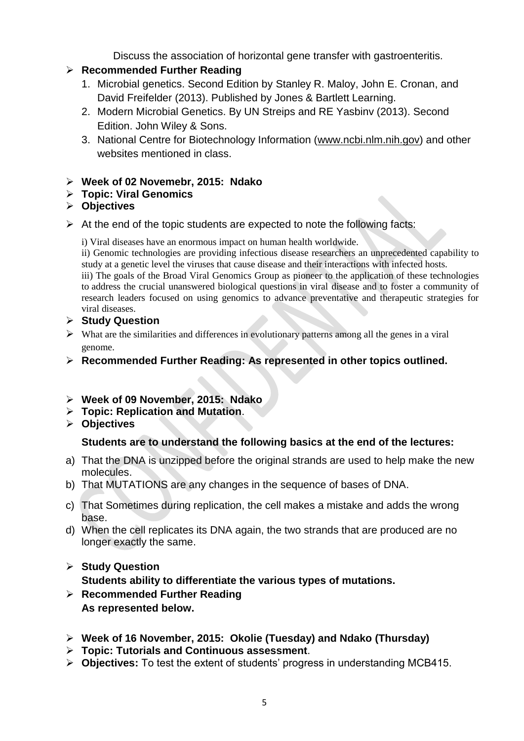Discuss the association of horizontal gene transfer with gastroenteritis.

#### **Recommended Further Reading**

- 1. Microbial genetics. Second Edition by [Stanley R. Maloy,](http://www.google.com.ng/search?tbo=p&tbm=bks&q=inauthor:%22Stanley+R.+Maloy%22) [John E. Cronan,](http://www.google.com.ng/search?tbo=p&tbm=bks&q=inauthor:%22John+E.+Cronan%22) and [David Freifelder](http://www.google.com.ng/search?tbo=p&tbm=bks&q=inauthor:%22David+Freifelder%22) (2013). Published by Jones & Bartlett Learning.
- 2. Modern Microbial Genetics. By UN Streips and RE Yasbinv (2013). Second Edition. John Wiley & Sons.
- 3. National Centre for Biotechnology Information [\(www.ncbi.nlm.nih.gov\)](http://www.ncbi.nlm.nih.gov/) and other websites mentioned in class.

#### **Week of 02 Novemebr, 2015: Ndako**

**Topic: Viral Genomics**

#### **Objectives**

 $\triangleright$  At the end of the topic students are expected to note the following facts:

i) Viral diseases have an enormous impact on human health worldwide.

ii) Genomic technologies are providing infectious disease researchers an unprecedented capability to study at a genetic level the viruses that cause disease and their interactions with infected hosts.

iii) The goals of the Broad Viral Genomics Group as pioneer to the application of these technologies to address the crucial unanswered biological questions in viral disease and to foster a community of research leaders focused on using genomics to advance preventative and therapeutic strategies for viral diseases.

#### **Study Question**

- $\triangleright$  What are the similarities and differences in evolutionary patterns among all the genes in a viral genome.
- **Recommended Further Reading: As represented in other topics outlined.**
- **Week of 09 November, 2015: Ndako**
- **Topic: Replication and Mutation**.
- **Objectives**

#### **Students are to understand the following basics at the end of the lectures:**

- a) That the DNA is unzipped before the original strands are used to help make the new molecules.
- b) That MUTATIONS are any changes in the sequence of bases of DNA.
- c) That Sometimes during replication, the cell makes a mistake and adds the wrong base.
- d) When the cell replicates its DNA again, the two strands that are produced are no longer exactly the same.

# **Study Question Students ability to differentiate the various types of mutations.**

- **Recommended Further Reading As represented below.**
- **Week of 16 November, 2015: Okolie (Tuesday) and Ndako (Thursday)**
- **Topic: Tutorials and Continuous assessment**.
- **Objectives:** To test the extent of students' progress in understanding MCB415.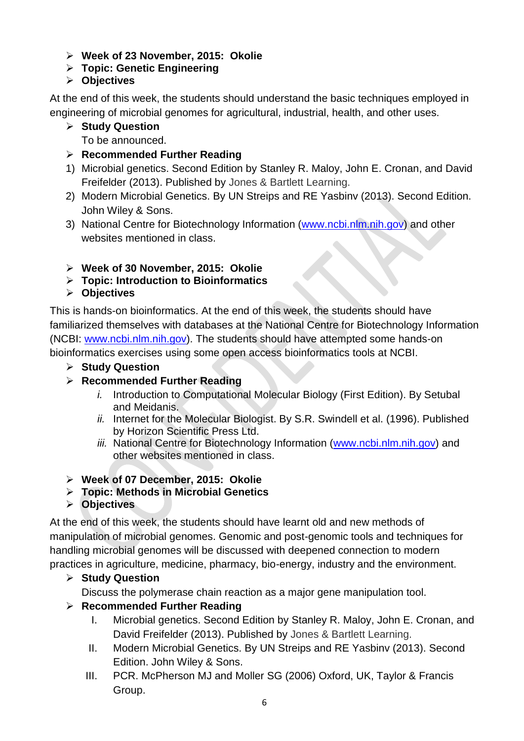- **Week of 23 November, 2015: Okolie**
- **Topic: Genetic Engineering**
- **Objectives**

At the end of this week, the students should understand the basic techniques employed in engineering of microbial genomes for agricultural, industrial, health, and other uses.

**Study Question**

To be announced.

- **Recommended Further Reading**
- 1) Microbial genetics. Second Edition by [Stanley R. Maloy,](http://www.google.com.ng/search?tbo=p&tbm=bks&q=inauthor:%22Stanley+R.+Maloy%22) [John E. Cronan,](http://www.google.com.ng/search?tbo=p&tbm=bks&q=inauthor:%22John+E.+Cronan%22) and [David](http://www.google.com.ng/search?tbo=p&tbm=bks&q=inauthor:%22David+Freifelder%22)  [Freifelder](http://www.google.com.ng/search?tbo=p&tbm=bks&q=inauthor:%22David+Freifelder%22) (2013). Published by Jones & Bartlett Learning.
- 2) Modern Microbial Genetics. By UN Streips and RE Yasbinv (2013). Second Edition. John Wiley & Sons.
- 3) National Centre for Biotechnology Information [\(www.ncbi.nlm.nih.gov\)](http://www.ncbi.nlm.nih.gov/) and other websites mentioned in class.
- **Week of 30 November, 2015: Okolie**
- **Topic: Introduction to Bioinformatics**
- **Objectives**

This is hands-on bioinformatics. At the end of this week, the students should have familiarized themselves with databases at the National Centre for Biotechnology Information (NCBI: [www.ncbi.nlm.nih.gov\)](http://www.ncbi.nlm.nih.gov/). The students should have attempted some hands-on bioinformatics exercises using some open access bioinformatics tools at NCBI.

- **Study Question**
- **Recommended Further Reading**
	- *i.* Introduction to Computational Molecular Biology (First Edition). By Setubal and Meidanis.
	- *ii.* Internet for the Molecular Biologist. By S.R. Swindell et al. (1996). Published by Horizon Scientific Press Ltd.
	- *iii.* National Centre for Biotechnology Information [\(www.ncbi.nlm.nih.gov\)](http://www.ncbi.nlm.nih.gov/) and other websites mentioned in class.
- **Week of 07 December, 2015: Okolie**
- **Topic: Methods in Microbial Genetics**
- **Objectives**

At the end of this week, the students should have learnt old and new methods of manipulation of microbial genomes. Genomic and post-genomic tools and techniques for handling microbial genomes will be discussed with deepened connection to modern practices in agriculture, medicine, pharmacy, bio-energy, industry and the environment.

# **Study Question**

Discuss the polymerase chain reaction as a major gene manipulation tool.

# **Recommended Further Reading**

- I. Microbial genetics. Second Edition by [Stanley R. Maloy,](http://www.google.com.ng/search?tbo=p&tbm=bks&q=inauthor:%22Stanley+R.+Maloy%22) [John E. Cronan,](http://www.google.com.ng/search?tbo=p&tbm=bks&q=inauthor:%22John+E.+Cronan%22) and [David Freifelder](http://www.google.com.ng/search?tbo=p&tbm=bks&q=inauthor:%22David+Freifelder%22) (2013). Published by Jones & Bartlett Learning.
- II. Modern Microbial Genetics. By UN Streips and RE Yasbinv (2013). Second Edition. John Wiley & Sons.
- III. PCR. McPherson MJ and Moller SG (2006) Oxford, UK, Taylor & Francis Group.